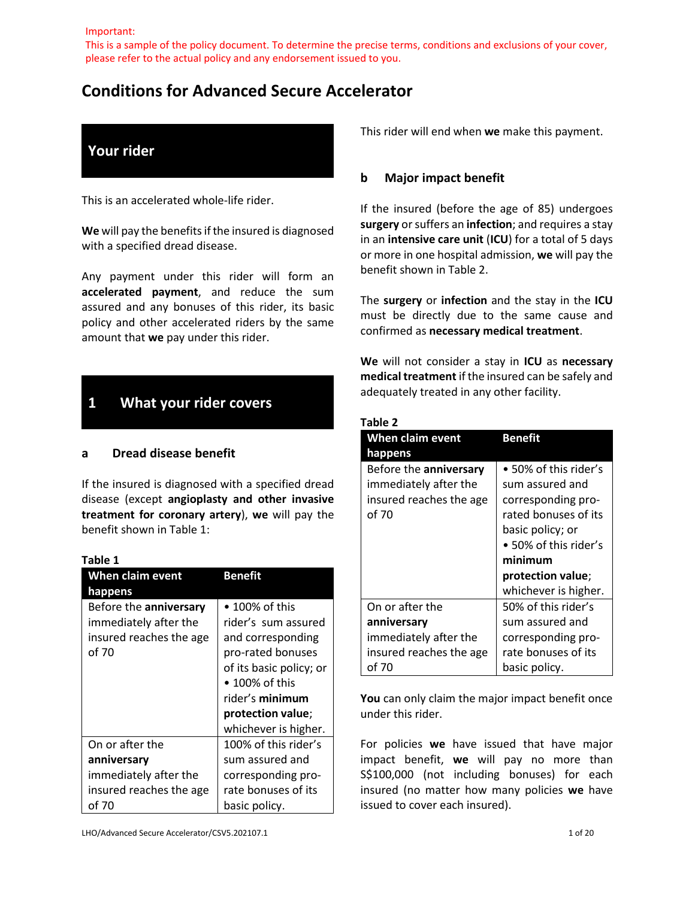Important:

This is a sample of the policy document. To determine the precise terms, conditions and exclusions of your cover, please refer to the actual policy and any endorsement issued to you.

# **Conditions for Advanced Secure Accelerator**

# **Your rider**

This is an accelerated whole-life rider.

**We** will pay the benefits if the insured is diagnosed with a specified dread disease.

Any payment under this rider will form an **accelerated payment**, and reduce the sum assured and any bonuses of this rider, its basic policy and other accelerated riders by the same amount that **we** pay under this rider.

# **1 What your rider covers**

#### **a Dread disease benefit**

If the insured is diagnosed with a specified dread disease (except **angioplasty and other invasive treatment for coronary artery**), **we** will pay the benefit shown in Table 1:

#### **Table 1**

| When claim event        | <b>Benefit</b>          |
|-------------------------|-------------------------|
| happens                 |                         |
| Before the anniversary  | $\bullet$ 100% of this  |
| immediately after the   | rider's sum assured     |
| insured reaches the age | and corresponding       |
| of 70                   | pro-rated bonuses       |
|                         | of its basic policy; or |
|                         | $\bullet$ 100% of this  |
|                         | rider's minimum         |
|                         | protection value;       |
|                         | whichever is higher.    |
| On or after the         | 100% of this rider's    |
| anniversary             | sum assured and         |
| immediately after the   | corresponding pro-      |
| insured reaches the age | rate bonuses of its     |
| of 70                   | basic policy.           |

This rider will end when **we** make this payment.

### **b Major impact benefit**

If the insured (before the age of 85) undergoes **surgery** or suffers an **infection**; and requires a stay in an **intensive care unit** (**ICU**) for a total of 5 days or more in one hospital admission, **we** will pay the benefit shown in Table 2.

The **surgery** or **infection** and the stay in the **ICU** must be directly due to the same cause and confirmed as **necessary medical treatment**.

**We** will not consider a stay in **ICU** as **necessary medical treatment** if the insured can be safely and adequately treated in any other facility.

#### **Table 2**

| <b>When claim event</b><br>happens                                                  | <b>Benefit</b>                                                                                                                                                                              |
|-------------------------------------------------------------------------------------|---------------------------------------------------------------------------------------------------------------------------------------------------------------------------------------------|
| Before the anniversary<br>immediately after the<br>insured reaches the age<br>of 70 | • 50% of this rider's<br>sum assured and<br>corresponding pro-<br>rated bonuses of its<br>basic policy; or<br>• 50% of this rider's<br>minimum<br>protection value;<br>whichever is higher. |
| On or after the                                                                     | 50% of this rider's                                                                                                                                                                         |
| anniversary                                                                         | sum assured and                                                                                                                                                                             |
| immediately after the                                                               | corresponding pro-                                                                                                                                                                          |
| insured reaches the age                                                             | rate bonuses of its                                                                                                                                                                         |
| of 70                                                                               | basic policy.                                                                                                                                                                               |

You can only claim the major impact benefit once under this rider.

For policies **we** have issued that have major impact benefit, **we** will pay no more than S\$100,000 (not including bonuses) for each insured (no matter how many policies **we** have issued to cover each insured).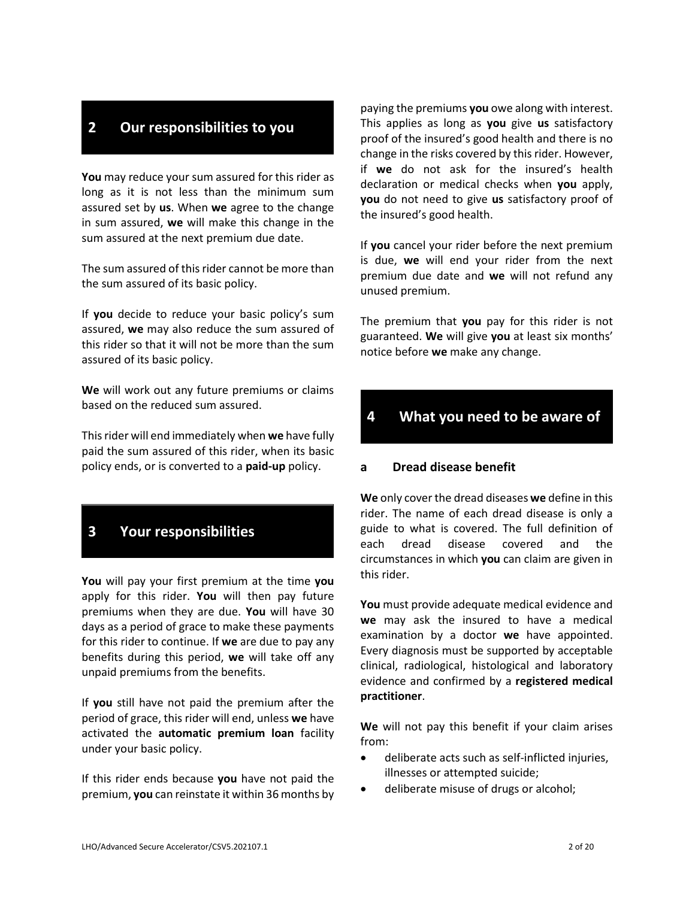# **2 Our responsibilities to you**

**You** may reduce your sum assured for this rider as long as it is not less than the minimum sum assured set by **us**. When **we** agree to the change in sum assured, **we** will make this change in the sum assured at the next premium due date.

The sum assured of this rider cannot be more than the sum assured of its basic policy.

If **you** decide to reduce your basic policy's sum assured, **we** may also reduce the sum assured of this rider so that it will not be more than the sum assured of its basic policy.

**We** will work out any future premiums or claims based on the reduced sum assured.

This rider will end immediately when **we** have fully paid the sum assured of this rider, when its basic policy ends, or is converted to a **paid-up** policy.

# **3 Your responsibilities**

**You** will pay your first premium at the time **you** apply for this rider. **You** will then pay future premiums when they are due. **You** will have 30 days as a period of grace to make these payments for this rider to continue. If **we** are due to pay any benefits during this period, **we** will take off any unpaid premiums from the benefits.

If **you** still have not paid the premium after the period of grace, this rider will end, unless **we** have activated the **automatic premium loan** facility under your basic policy.

If this rider ends because **you** have not paid the premium, **you** can reinstate it within 36 months by

paying the premiums **you** owe along with interest. This applies as long as **you** give **us** satisfactory proof of the insured's good health and there is no change in the risks covered by this rider. However, if **we** do not ask for the insured's health declaration or medical checks when **you** apply, **you** do not need to give **us** satisfactory proof of the insured's good health.

If **you** cancel your rider before the next premium is due, **we** will end your rider from the next premium due date and **we** will not refund any unused premium.

The premium that **you** pay for this rider is not guaranteed. **We** will give **you** at least six months' notice before **we** make any change.

# **4 What you need to be aware of**

### **a Dread disease benefit**

**We** only cover the dread diseases **we** define in this rider. The name of each dread disease is only a guide to what is covered. The full definition of each dread disease covered and the circumstances in which **you** can claim are given in this rider.

**You** must provide adequate medical evidence and **we** may ask the insured to have a medical examination by a doctor **we** have appointed. Every diagnosis must be supported by acceptable clinical, radiological, histological and laboratory evidence and confirmed by a **registered medical practitioner**.

**We** will not pay this benefit if your claim arises from:

- deliberate acts such as self-inflicted injuries, illnesses or attempted suicide;
- deliberate misuse of drugs or alcohol;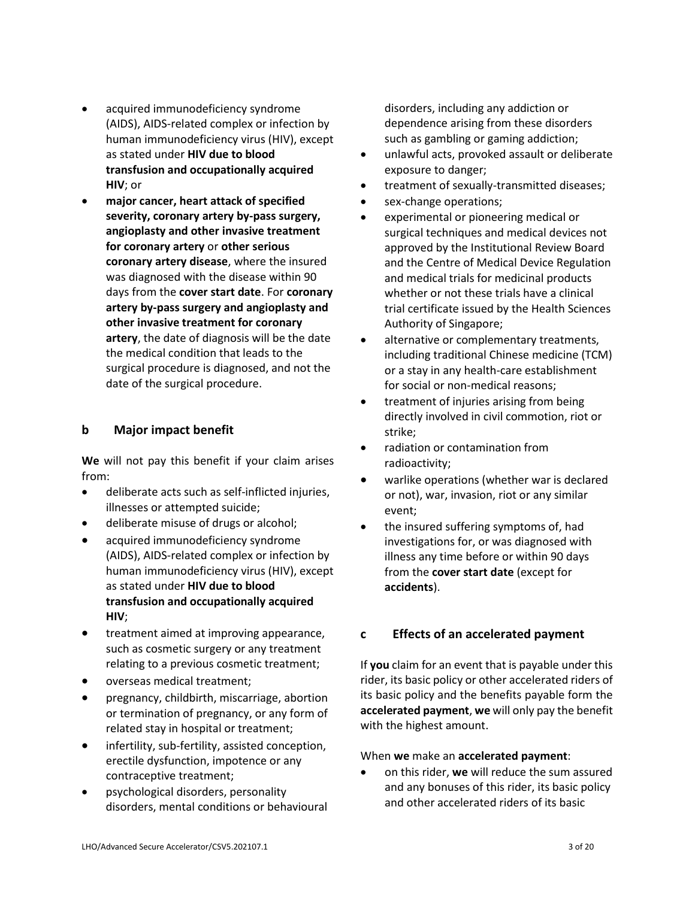- acquired immunodeficiency syndrome (AIDS), AIDS-related complex or infection by human immunodeficiency virus (HIV), except as stated under **HIV due to blood transfusion and occupationally acquired HIV**; or
- **major cancer, heart attack of specified severity, coronary artery by-pass surgery, angioplasty and other invasive treatment for coronary artery** or **other serious coronary artery disease**, where the insured was diagnosed with the disease within 90 days from the **cover start date**. For **coronary artery by-pass surgery and angioplasty and other invasive treatment for coronary artery**, the date of diagnosis will be the date the medical condition that leads to the surgical procedure is diagnosed, and not the date of the surgical procedure.

### **b Major impact benefit**

**We** will not pay this benefit if your claim arises from:

- deliberate acts such as self-inflicted injuries, illnesses or attempted suicide;
- deliberate misuse of drugs or alcohol;
- acquired immunodeficiency syndrome (AIDS), AIDS-related complex or infection by human immunodeficiency virus (HIV), except as stated under **HIV due to blood transfusion and occupationally acquired HIV**;
- treatment aimed at improving appearance, such as cosmetic surgery or any treatment relating to a previous cosmetic treatment;
- overseas medical treatment;
- pregnancy, childbirth, miscarriage, abortion or termination of pregnancy, or any form of related stay in hospital or treatment;
- infertility, sub-fertility, assisted conception, erectile dysfunction, impotence or any contraceptive treatment;
- psychological disorders, personality disorders, mental conditions or behavioural

disorders, including any addiction or dependence arising from these disorders such as gambling or gaming addiction;

- unlawful acts, provoked assault or deliberate exposure to danger;
- treatment of sexually-transmitted diseases;
- sex-change operations;
- experimental or pioneering medical or surgical techniques and medical devices not approved by the Institutional Review Board and the Centre of Medical Device Regulation and medical trials for medicinal products whether or not these trials have a clinical trial certificate issued by the Health Sciences Authority of Singapore;
- alternative or complementary treatments, including traditional Chinese medicine (TCM) or a stay in any health-care establishment for social or non-medical reasons;
- treatment of injuries arising from being directly involved in civil commotion, riot or strike;
- radiation or contamination from radioactivity;
- warlike operations (whether war is declared or not), war, invasion, riot or any similar event;
- the insured suffering symptoms of, had investigations for, or was diagnosed with illness any time before or within 90 days from the **cover start date** (except for **accidents**).

# **c Effects of an accelerated payment**

If **you** claim for an event that is payable under this rider, its basic policy or other accelerated riders of its basic policy and the benefits payable form the **accelerated payment**, **we** will only pay the benefit with the highest amount.

### When **we** make an **accelerated payment**:

 on this rider, **we** will reduce the sum assured and any bonuses of this rider, its basic policy and other accelerated riders of its basic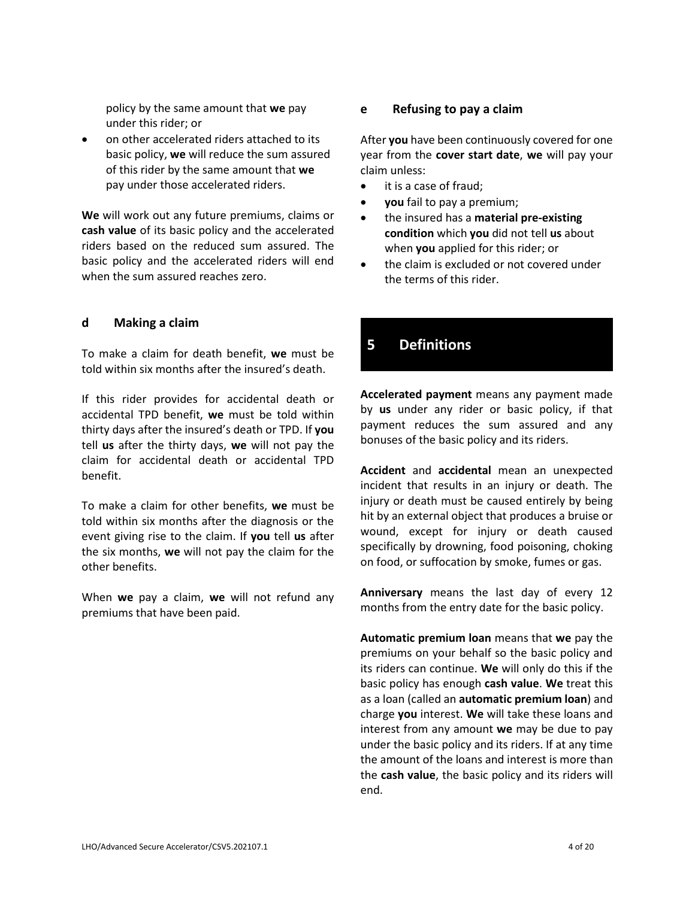policy by the same amount that **we** pay under this rider; or

 on other accelerated riders attached to its basic policy, **we** will reduce the sum assured of this rider by the same amount that **we** pay under those accelerated riders.

**We** will work out any future premiums, claims or **cash value** of its basic policy and the accelerated riders based on the reduced sum assured. The basic policy and the accelerated riders will end when the sum assured reaches zero.

### **d Making a claim**

To make a claim for death benefit, **we** must be told within six months after the insured's death.

If this rider provides for accidental death or accidental TPD benefit, **we** must be told within thirty days after the insured's death or TPD. If **you** tell **us** after the thirty days, **we** will not pay the claim for accidental death or accidental TPD benefit.

To make a claim for other benefits, **we** must be told within six months after the diagnosis or the event giving rise to the claim. If **you** tell **us** after the six months, **we** will not pay the claim for the other benefits.

When **we** pay a claim, **we** will not refund any premiums that have been paid.

### **e Refusing to pay a claim**

After **you** have been continuously covered for one year from the **cover start date**, **we** will pay your claim unless:

- it is a case of fraud;
- **you** fail to pay a premium;
- the insured has a **material pre-existing condition** which **you** did not tell **us** about when **you** applied for this rider; or
- the claim is excluded or not covered under the terms of this rider.

# **5 Definitions**

**Accelerated payment** means any payment made by **us** under any rider or basic policy, if that payment reduces the sum assured and any bonuses of the basic policy and its riders.

**Accident** and **accidental** mean an unexpected incident that results in an injury or death. The injury or death must be caused entirely by being hit by an external object that produces a bruise or wound, except for injury or death caused specifically by drowning, food poisoning, choking on food, or suffocation by smoke, fumes or gas.

**Anniversary** means the last day of every 12 months from the entry date for the basic policy.

**Automatic premium loan** means that **we** pay the premiums on your behalf so the basic policy and its riders can continue. **We** will only do this if the basic policy has enough **cash value**. **We** treat this as a loan (called an **automatic premium loan**) and charge **you** interest. **We** will take these loans and interest from any amount **we** may be due to pay under the basic policy and its riders. If at any time the amount of the loans and interest is more than the **cash value**, the basic policy and its riders will end.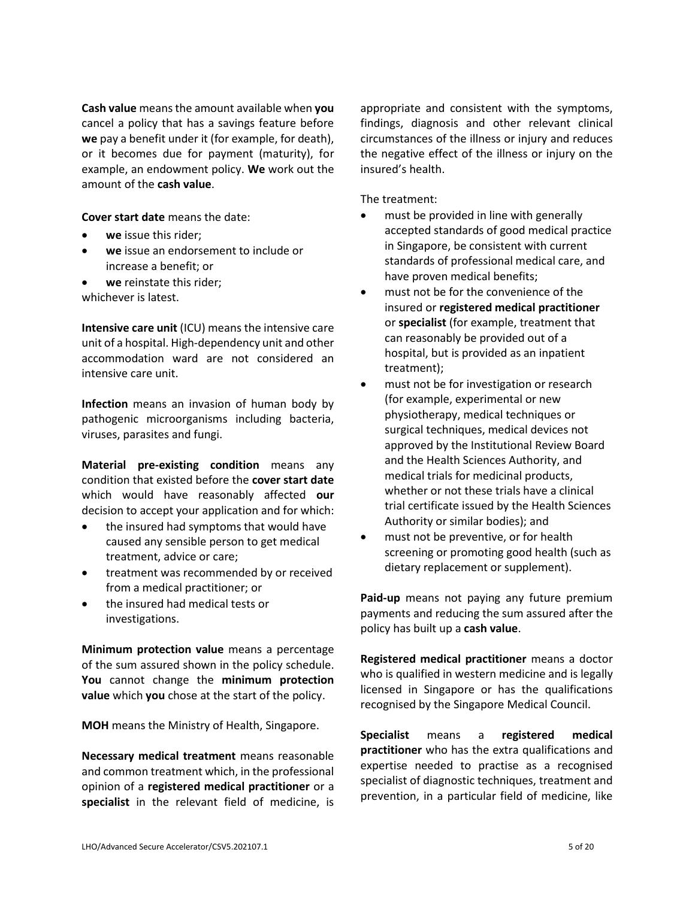**Cash value** means the amount available when **you** cancel a policy that has a savings feature before **we** pay a benefit under it (for example, for death), or it becomes due for payment (maturity), for example, an endowment policy. **We** work out the amount of the **cash value**.

**Cover start date** means the date:

- **we** issue this rider;
- **we** issue an endorsement to include or increase a benefit; or
- **we** reinstate this rider; whichever is latest.

**Intensive care unit** (ICU) means the intensive care unit of a hospital. High-dependency unit and other accommodation ward are not considered an intensive care unit.

**Infection** means an invasion of human body by pathogenic microorganisms including bacteria, viruses, parasites and fungi.

**Material pre-existing condition** means any condition that existed before the **cover start date** which would have reasonably affected **our** decision to accept your application and for which:

- the insured had symptoms that would have caused any sensible person to get medical treatment, advice or care;
- treatment was recommended by or received from a medical practitioner; or
- the insured had medical tests or investigations.

**Minimum protection value** means a percentage of the sum assured shown in the policy schedule. **You** cannot change the **minimum protection value** which **you** chose at the start of the policy.

**MOH** means the Ministry of Health, Singapore.

**Necessary medical treatment** means reasonable and common treatment which, in the professional opinion of a **registered medical practitioner** or a **specialist** in the relevant field of medicine, is

appropriate and consistent with the symptoms, findings, diagnosis and other relevant clinical circumstances of the illness or injury and reduces the negative effect of the illness or injury on the insured's health.

The treatment:

- must be provided in line with generally accepted standards of good medical practice in Singapore, be consistent with current standards of professional medical care, and have proven medical benefits;
- must not be for the convenience of the insured or **registered medical practitioner** or **specialist** (for example, treatment that can reasonably be provided out of a hospital, but is provided as an inpatient treatment);
- must not be for investigation or research (for example, experimental or new physiotherapy, medical techniques or surgical techniques, medical devices not approved by the Institutional Review Board and the Health Sciences Authority, and medical trials for medicinal products, whether or not these trials have a clinical trial certificate issued by the Health Sciences Authority or similar bodies); and
- must not be preventive, or for health screening or promoting good health (such as dietary replacement or supplement).

**Paid-up** means not paying any future premium payments and reducing the sum assured after the policy has built up a **cash value**.

**Registered medical practitioner** means a doctor who is qualified in western medicine and is legally licensed in Singapore or has the qualifications recognised by the Singapore Medical Council.

**Specialist** means a **registered medical practitioner** who has the extra qualifications and expertise needed to practise as a recognised specialist of diagnostic techniques, treatment and prevention, in a particular field of medicine, like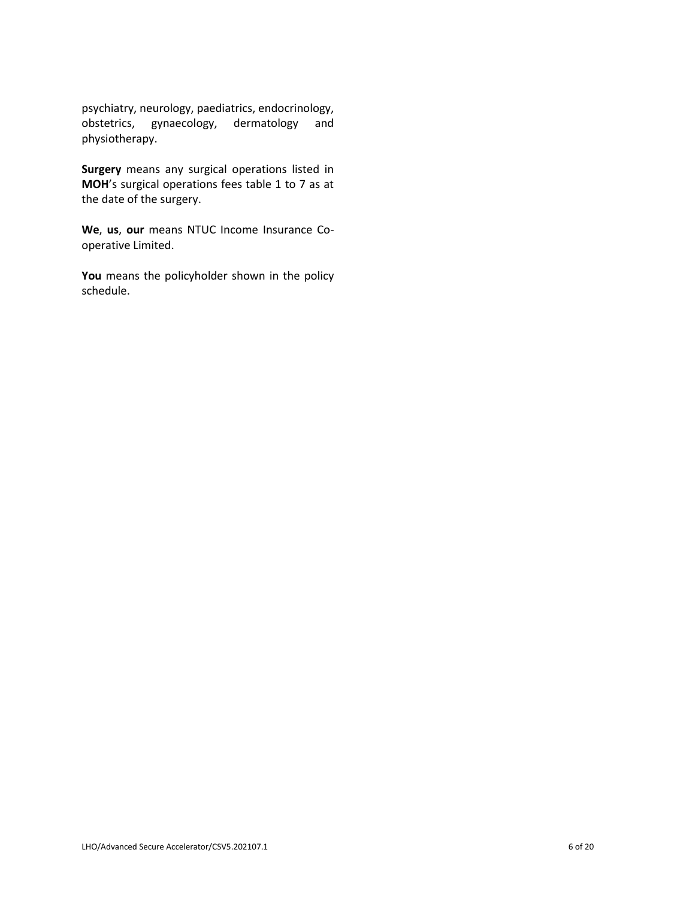psychiatry, neurology, paediatrics, endocrinology, obstetrics, gynaecology, dermatology and physiotherapy.

**Surgery** means any surgical operations listed in **MOH**'s surgical operations fees table 1 to 7 as at the date of the surgery.

**We**, **us**, **our** means NTUC Income Insurance Cooperative Limited.

You means the policyholder shown in the policy schedule.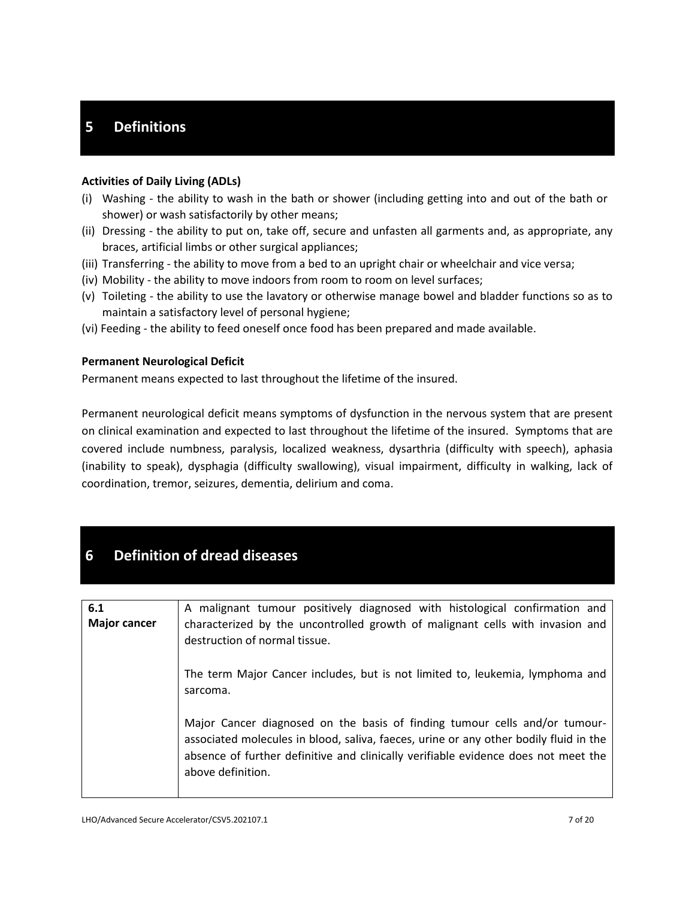# **5 Definitions**

### **Activities of Daily Living (ADLs)**

- (i) Washing the ability to wash in the bath or shower (including getting into and out of the bath or shower) or wash satisfactorily by other means;
- (ii) Dressing the ability to put on, take off, secure and unfasten all garments and, as appropriate, any braces, artificial limbs or other surgical appliances;
- (iii) Transferring the ability to move from a bed to an upright chair or wheelchair and vice versa;
- (iv) Mobility the ability to move indoors from room to room on level surfaces;
- (v) Toileting the ability to use the lavatory or otherwise manage bowel and bladder functions so as to maintain a satisfactory level of personal hygiene;
- (vi) Feeding the ability to feed oneself once food has been prepared and made available.

### **Permanent Neurological Deficit**

Permanent means expected to last throughout the lifetime of the insured.

Permanent neurological deficit means symptoms of dysfunction in the nervous system that are present on clinical examination and expected to last throughout the lifetime of the insured. Symptoms that are covered include numbness, paralysis, localized weakness, dysarthria (difficulty with speech), aphasia (inability to speak), dysphagia (difficulty swallowing), visual impairment, difficulty in walking, lack of coordination, tremor, seizures, dementia, delirium and coma.

# **6 Definition of dread diseases**

| 6.1                 | A malignant tumour positively diagnosed with histological confirmation and                                                                                                                                                                                                     |
|---------------------|--------------------------------------------------------------------------------------------------------------------------------------------------------------------------------------------------------------------------------------------------------------------------------|
| <b>Major cancer</b> | characterized by the uncontrolled growth of malignant cells with invasion and<br>destruction of normal tissue.                                                                                                                                                                 |
|                     | The term Major Cancer includes, but is not limited to, leukemia, lymphoma and<br>sarcoma.                                                                                                                                                                                      |
|                     | Major Cancer diagnosed on the basis of finding tumour cells and/or tumour-<br>associated molecules in blood, saliva, faeces, urine or any other bodily fluid in the<br>absence of further definitive and clinically verifiable evidence does not meet the<br>above definition. |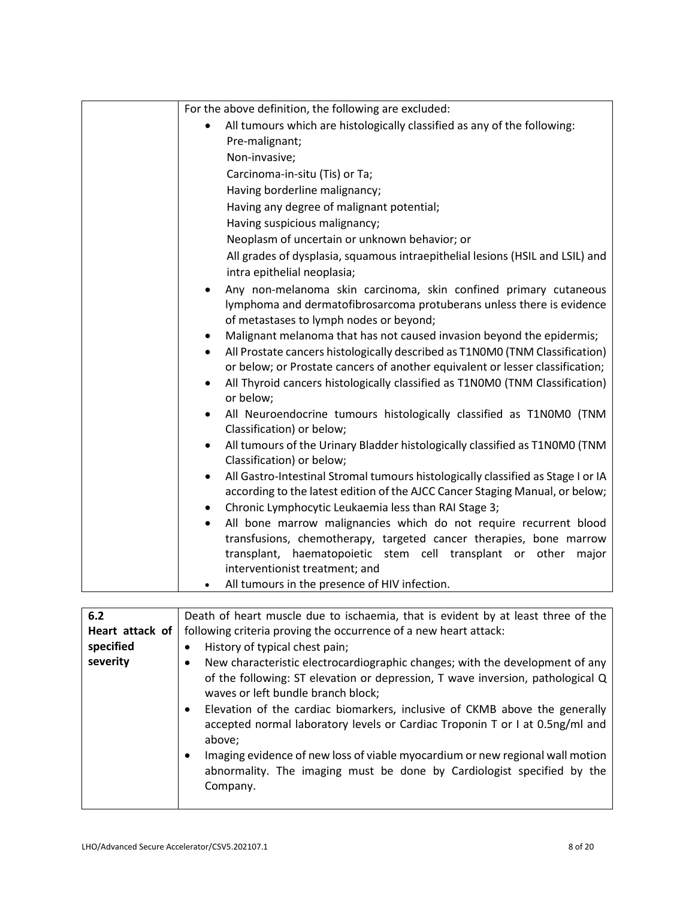| For the above definition, the following are excluded:                                                  |
|--------------------------------------------------------------------------------------------------------|
| All tumours which are histologically classified as any of the following:                               |
| Pre-malignant;                                                                                         |
| Non-invasive;                                                                                          |
| Carcinoma-in-situ (Tis) or Ta;                                                                         |
| Having borderline malignancy;                                                                          |
| Having any degree of malignant potential;                                                              |
| Having suspicious malignancy;                                                                          |
| Neoplasm of uncertain or unknown behavior; or                                                          |
| All grades of dysplasia, squamous intraepithelial lesions (HSIL and LSIL) and                          |
| intra epithelial neoplasia;                                                                            |
| Any non-melanoma skin carcinoma, skin confined primary cutaneous                                       |
| lymphoma and dermatofibrosarcoma protuberans unless there is evidence                                  |
| of metastases to lymph nodes or beyond;                                                                |
| Malignant melanoma that has not caused invasion beyond the epidermis;                                  |
| All Prostate cancers histologically described as T1N0M0 (TNM Classification)                           |
| or below; or Prostate cancers of another equivalent or lesser classification;                          |
| All Thyroid cancers histologically classified as T1N0M0 (TNM Classification)                           |
| or below;                                                                                              |
| All Neuroendocrine tumours histologically classified as T1N0M0 (TNM                                    |
| Classification) or below;                                                                              |
| All tumours of the Urinary Bladder histologically classified as T1N0M0 (TNM                            |
| Classification) or below;                                                                              |
| All Gastro-Intestinal Stromal tumours histologically classified as Stage I or IA                       |
| according to the latest edition of the AJCC Cancer Staging Manual, or below;                           |
| Chronic Lymphocytic Leukaemia less than RAI Stage 3;                                                   |
| All bone marrow malignancies which do not require recurrent blood                                      |
| transfusions, chemotherapy, targeted cancer therapies, bone marrow                                     |
| haematopoietic stem cell transplant or other<br>transplant,<br>major<br>interventionist treatment; and |
| All tumours in the presence of HIV infection.                                                          |
|                                                                                                        |
|                                                                                                        |

| 6.2             | Death of heart muscle due to ischaemia, that is evident by at least three of the                                                                                                                                                                                                                                                                                             |
|-----------------|------------------------------------------------------------------------------------------------------------------------------------------------------------------------------------------------------------------------------------------------------------------------------------------------------------------------------------------------------------------------------|
| Heart attack of | following criteria proving the occurrence of a new heart attack:                                                                                                                                                                                                                                                                                                             |
| specified       | History of typical chest pain;<br>$\bullet$                                                                                                                                                                                                                                                                                                                                  |
| severity        | New characteristic electrocardiographic changes; with the development of any<br>of the following: ST elevation or depression, T wave inversion, pathological Q<br>waves or left bundle branch block;<br>Elevation of the cardiac biomarkers, inclusive of CKMB above the generally<br>accepted normal laboratory levels or Cardiac Troponin T or I at 0.5ng/ml and<br>above; |
|                 | Imaging evidence of new loss of viable myocardium or new regional wall motion<br>abnormality. The imaging must be done by Cardiologist specified by the<br>Company.                                                                                                                                                                                                          |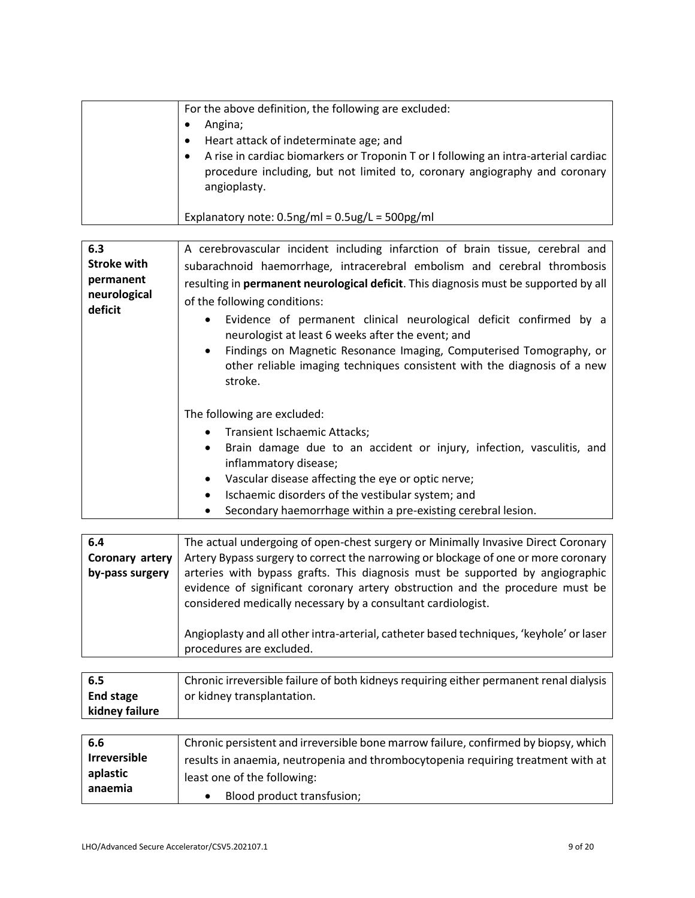| For the above definition, the following are excluded:<br>Angina;<br>Heart attack of indeterminate age; and<br>A rise in cardiac biomarkers or Troponin T or I following an intra-arterial cardiac<br>procedure including, but not limited to, coronary angiography and coronary |
|---------------------------------------------------------------------------------------------------------------------------------------------------------------------------------------------------------------------------------------------------------------------------------|
| angioplasty.<br>Explanatory note: $0.5$ ng/ml = $0.5$ ug/L = $500$ pg/ml                                                                                                                                                                                                        |

| 6.3                       | A cerebrovascular incident including infarction of brain tissue, cerebral and                                                                                                                                                                                                                                   |
|---------------------------|-----------------------------------------------------------------------------------------------------------------------------------------------------------------------------------------------------------------------------------------------------------------------------------------------------------------|
| <b>Stroke with</b>        | subarachnoid haemorrhage, intracerebral embolism and cerebral thrombosis                                                                                                                                                                                                                                        |
| permanent<br>neurological | resulting in permanent neurological deficit. This diagnosis must be supported by all<br>of the following conditions:                                                                                                                                                                                            |
| deficit                   | Evidence of permanent clinical neurological deficit confirmed by a<br>$\bullet$<br>neurologist at least 6 weeks after the event; and<br>Findings on Magnetic Resonance Imaging, Computerised Tomography, or<br>$\bullet$<br>other reliable imaging techniques consistent with the diagnosis of a new<br>stroke. |
|                           | The following are excluded:                                                                                                                                                                                                                                                                                     |
|                           | Transient Ischaemic Attacks;<br>$\bullet$                                                                                                                                                                                                                                                                       |
|                           | Brain damage due to an accident or injury, infection, vasculitis, and<br>$\bullet$<br>inflammatory disease;                                                                                                                                                                                                     |
|                           | Vascular disease affecting the eye or optic nerve;<br>$\bullet$                                                                                                                                                                                                                                                 |
|                           | Ischaemic disorders of the vestibular system; and<br>$\bullet$                                                                                                                                                                                                                                                  |
|                           | Secondary haemorrhage within a pre-existing cerebral lesion.                                                                                                                                                                                                                                                    |

| 6.4             | The actual undergoing of open-chest surgery or Minimally Invasive Direct Coronary                                                                                                                                              |
|-----------------|--------------------------------------------------------------------------------------------------------------------------------------------------------------------------------------------------------------------------------|
| Coronary artery | Artery Bypass surgery to correct the narrowing or blockage of one or more coronary                                                                                                                                             |
| by-pass surgery | arteries with bypass grafts. This diagnosis must be supported by angiographic<br>evidence of significant coronary artery obstruction and the procedure must be<br>considered medically necessary by a consultant cardiologist. |
|                 | Angioplasty and all other intra-arterial, catheter based techniques, 'keyhole' or laser<br>procedures are excluded.                                                                                                            |

| - 6.5            | Chronic irreversible failure of both kidneys requiring either permanent renal dialysis |
|------------------|----------------------------------------------------------------------------------------|
| <b>End stage</b> | or kidney transplantation.                                                             |
| kidney failure   |                                                                                        |

| 6.6                 | Chronic persistent and irreversible bone marrow failure, confirmed by biopsy, which |
|---------------------|-------------------------------------------------------------------------------------|
| <b>Irreversible</b> | results in anaemia, neutropenia and thrombocytopenia requiring treatment with at    |
| aplastic            | least one of the following:                                                         |
| anaemia             | Blood product transfusion;                                                          |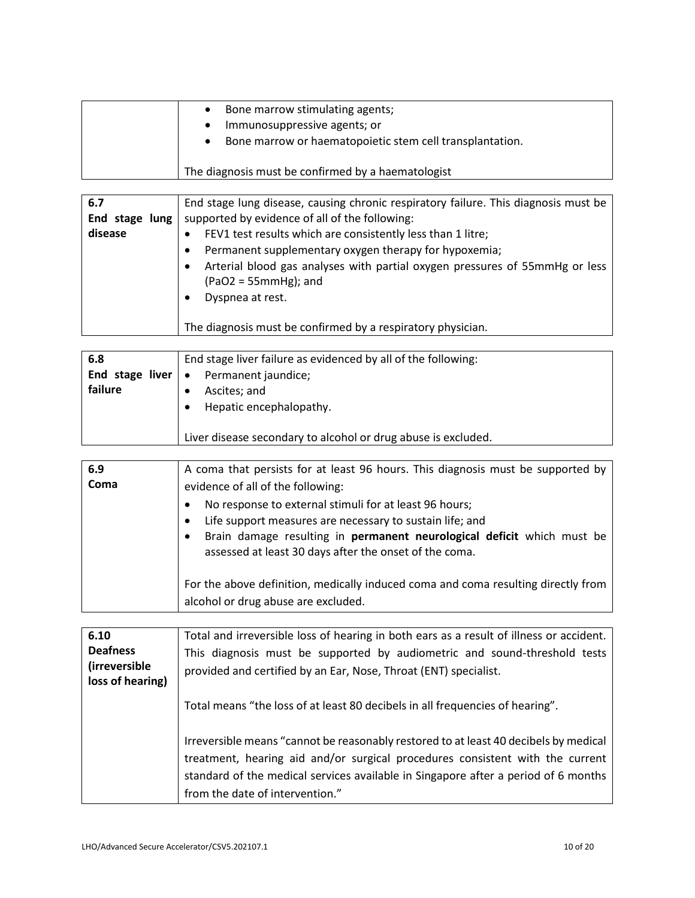| Bone marrow stimulating agents;<br>$\bullet$                          |
|-----------------------------------------------------------------------|
| Immunosuppressive agents; or<br>$\bullet$                             |
| Bone marrow or haematopoietic stem cell transplantation.<br>$\bullet$ |
| The diagnosis must be confirmed by a haematologist                    |

| 6.7            | End stage lung disease, causing chronic respiratory failure. This diagnosis must be                                        |
|----------------|----------------------------------------------------------------------------------------------------------------------------|
| End stage lung | supported by evidence of all of the following:                                                                             |
| disease        | FEV1 test results which are consistently less than 1 litre;                                                                |
|                | Permanent supplementary oxygen therapy for hypoxemia;                                                                      |
|                | Arterial blood gas analyses with partial oxygen pressures of 55mmHg or less<br>$(PaO2 = 55mmHg)$ ; and<br>Dyspnea at rest. |
|                | The diagnosis must be confirmed by a respiratory physician.                                                                |

| 6.8                                   | End stage liver failure as evidenced by all of the following: |
|---------------------------------------|---------------------------------------------------------------|
| End stage liver $\vert \bullet \vert$ | Permanent jaundice;                                           |
| failure                               | Ascites; and                                                  |
|                                       | Hepatic encephalopathy.                                       |
|                                       |                                                               |
|                                       | Liver disease secondary to alcohol or drug abuse is excluded. |

| 6.9  | A coma that persists for at least 96 hours. This diagnosis must be supported by                                                                                                                                                                        |
|------|--------------------------------------------------------------------------------------------------------------------------------------------------------------------------------------------------------------------------------------------------------|
| Coma | evidence of all of the following:                                                                                                                                                                                                                      |
|      | No response to external stimuli for at least 96 hours;<br>Life support measures are necessary to sustain life; and<br>Brain damage resulting in permanent neurological deficit which must be<br>assessed at least 30 days after the onset of the coma. |
|      | For the above definition, medically induced coma and coma resulting directly from<br>alcohol or drug abuse are excluded.                                                                                                                               |

| 6.10                  | Total and irreversible loss of hearing in both ears as a result of illness or accident.                                                                                                                                                                                                        |
|-----------------------|------------------------------------------------------------------------------------------------------------------------------------------------------------------------------------------------------------------------------------------------------------------------------------------------|
| <b>Deafness</b>       | This diagnosis must be supported by audiometric and sound-threshold tests                                                                                                                                                                                                                      |
| <i>(irreversible)</i> | provided and certified by an Ear, Nose, Throat (ENT) specialist.                                                                                                                                                                                                                               |
| loss of hearing)      | Total means "the loss of at least 80 decibels in all frequencies of hearing".                                                                                                                                                                                                                  |
|                       | Irreversible means "cannot be reasonably restored to at least 40 decibels by medical<br>treatment, hearing aid and/or surgical procedures consistent with the current<br>standard of the medical services available in Singapore after a period of 6 months<br>from the date of intervention." |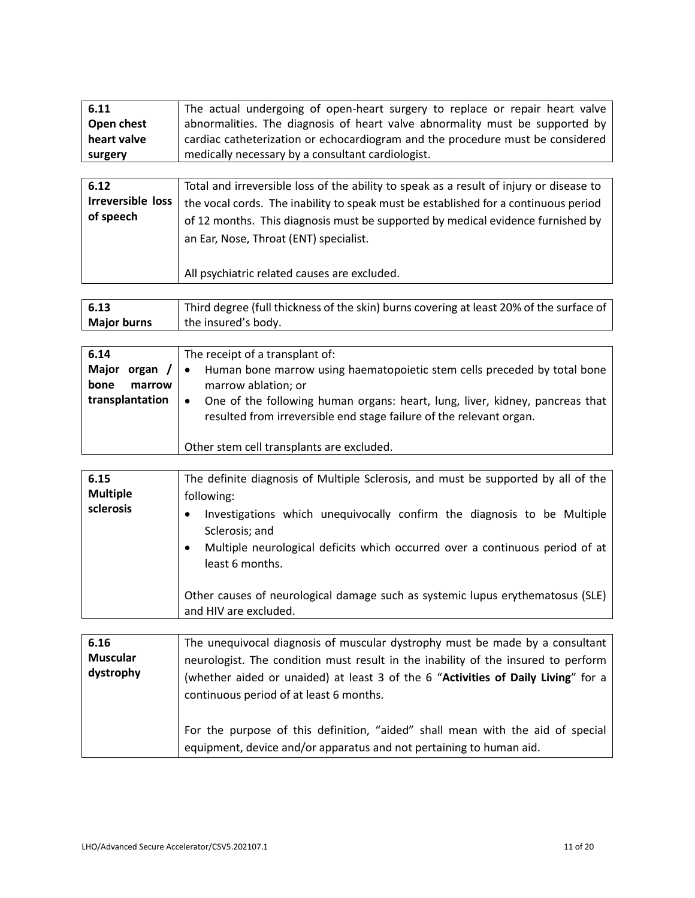| 6.11<br>Open chest<br>heart valve<br>surgery  | The actual undergoing of open-heart surgery to replace or repair heart valve<br>abnormalities. The diagnosis of heart valve abnormality must be supported by<br>cardiac catheterization or echocardiogram and the procedure must be considered<br>medically necessary by a consultant cardiologist.         |
|-----------------------------------------------|-------------------------------------------------------------------------------------------------------------------------------------------------------------------------------------------------------------------------------------------------------------------------------------------------------------|
|                                               |                                                                                                                                                                                                                                                                                                             |
| 6.12<br><b>Irreversible loss</b><br>of speech | Total and irreversible loss of the ability to speak as a result of injury or disease to<br>the vocal cords. The inability to speak must be established for a continuous period<br>of 12 months. This diagnosis must be supported by medical evidence furnished by<br>an Ear, Nose, Throat (ENT) specialist. |
|                                               | All psychiatric related causes are excluded.                                                                                                                                                                                                                                                                |

| 6.13               | Third degree (full thickness of the skin) burns covering at least 20% of the surface of |
|--------------------|-----------------------------------------------------------------------------------------|
| <b>Major burns</b> | the insured's body.                                                                     |

| 6.14                      | The receipt of a transplant of:                                                                                                                                  |
|---------------------------|------------------------------------------------------------------------------------------------------------------------------------------------------------------|
| <b>Major</b><br>organ $/$ | Human bone marrow using haematopoietic stem cells preceded by total bone<br>$\bullet$                                                                            |
| bone<br>marrow            | marrow ablation; or                                                                                                                                              |
| transplantation           | One of the following human organs: heart, lung, liver, kidney, pancreas that<br>$\bullet$<br>resulted from irreversible end stage failure of the relevant organ. |
|                           | Other stem cell transplants are excluded.                                                                                                                        |

| 6.15<br><b>Multiple</b><br>sclerosis | The definite diagnosis of Multiple Sclerosis, and must be supported by all of the<br>following:<br>Investigations which unequivocally confirm the diagnosis to be Multiple<br>Sclerosis; and<br>Multiple neurological deficits which occurred over a continuous period of at |
|--------------------------------------|------------------------------------------------------------------------------------------------------------------------------------------------------------------------------------------------------------------------------------------------------------------------------|
|                                      | least 6 months.<br>Other causes of neurological damage such as systemic lupus erythematosus (SLE)<br>and HIV are excluded.                                                                                                                                                   |

| 6.16                         | The unequivocal diagnosis of muscular dystrophy must be made by a consultant                                                                                                                                      |
|------------------------------|-------------------------------------------------------------------------------------------------------------------------------------------------------------------------------------------------------------------|
| <b>Muscular</b><br>dystrophy | neurologist. The condition must result in the inability of the insured to perform<br>(whether aided or unaided) at least 3 of the 6 "Activities of Daily Living" for a<br>continuous period of at least 6 months. |
|                              | For the purpose of this definition, "aided" shall mean with the aid of special<br>equipment, device and/or apparatus and not pertaining to human aid.                                                             |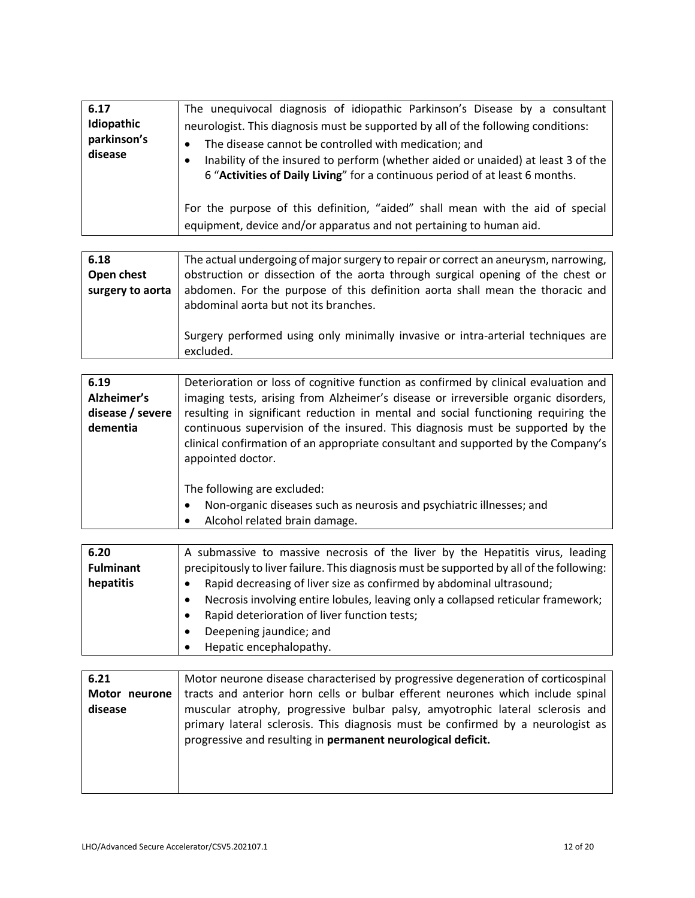| 6.17<br>Idiopathic<br>parkinson's<br>disease | The unequivocal diagnosis of idiopathic Parkinson's Disease by a consultant<br>neurologist. This diagnosis must be supported by all of the following conditions:<br>The disease cannot be controlled with medication; and<br>Inability of the insured to perform (whether aided or unaided) at least 3 of the<br>6 "Activities of Daily Living" for a continuous period of at least 6 months. |
|----------------------------------------------|-----------------------------------------------------------------------------------------------------------------------------------------------------------------------------------------------------------------------------------------------------------------------------------------------------------------------------------------------------------------------------------------------|
|                                              | For the purpose of this definition, "aided" shall mean with the aid of special<br>equipment, device and/or apparatus and not pertaining to human aid.                                                                                                                                                                                                                                         |

| 6.18             | The actual undergoing of major surgery to repair or correct an aneurysm, narrowing,                                    |
|------------------|------------------------------------------------------------------------------------------------------------------------|
| Open chest       | obstruction or dissection of the aorta through surgical opening of the chest or                                        |
| surgery to aorta | abdomen. For the purpose of this definition aorta shall mean the thoracic and<br>abdominal aorta but not its branches. |
|                  | Surgery performed using only minimally invasive or intra-arterial techniques are<br>excluded.                          |

| 6.19             | Deterioration or loss of cognitive function as confirmed by clinical evaluation and |
|------------------|-------------------------------------------------------------------------------------|
| Alzheimer's      | imaging tests, arising from Alzheimer's disease or irreversible organic disorders,  |
| disease / severe | resulting in significant reduction in mental and social functioning requiring the   |
| dementia         | continuous supervision of the insured. This diagnosis must be supported by the      |
|                  | clinical confirmation of an appropriate consultant and supported by the Company's   |
|                  | appointed doctor.                                                                   |
|                  |                                                                                     |
|                  | The following are excluded:                                                         |
|                  | Non-organic diseases such as neurosis and psychiatric illnesses; and<br>٠           |
|                  | Alcohol related brain damage.                                                       |

| 6.20<br><b>Fulminant</b><br>hepatitis | A submassive to massive necrosis of the liver by the Hepatitis virus, leading<br>precipitously to liver failure. This diagnosis must be supported by all of the following:<br>Rapid decreasing of liver size as confirmed by abdominal ultrasound;<br>Necrosis involving entire lobules, leaving only a collapsed reticular framework; |
|---------------------------------------|----------------------------------------------------------------------------------------------------------------------------------------------------------------------------------------------------------------------------------------------------------------------------------------------------------------------------------------|
|                                       | Rapid deterioration of liver function tests;<br>Deepening jaundice; and<br>Hepatic encephalopathy.                                                                                                                                                                                                                                     |

| 6.21          | Motor neurone disease characterised by progressive degeneration of corticospinal |
|---------------|----------------------------------------------------------------------------------|
| Motor neurone | tracts and anterior horn cells or bulbar efferent neurones which include spinal  |
| disease       | muscular atrophy, progressive bulbar palsy, amyotrophic lateral sclerosis and    |
|               | primary lateral sclerosis. This diagnosis must be confirmed by a neurologist as  |
|               | progressive and resulting in permanent neurological deficit.                     |
|               |                                                                                  |
|               |                                                                                  |
|               |                                                                                  |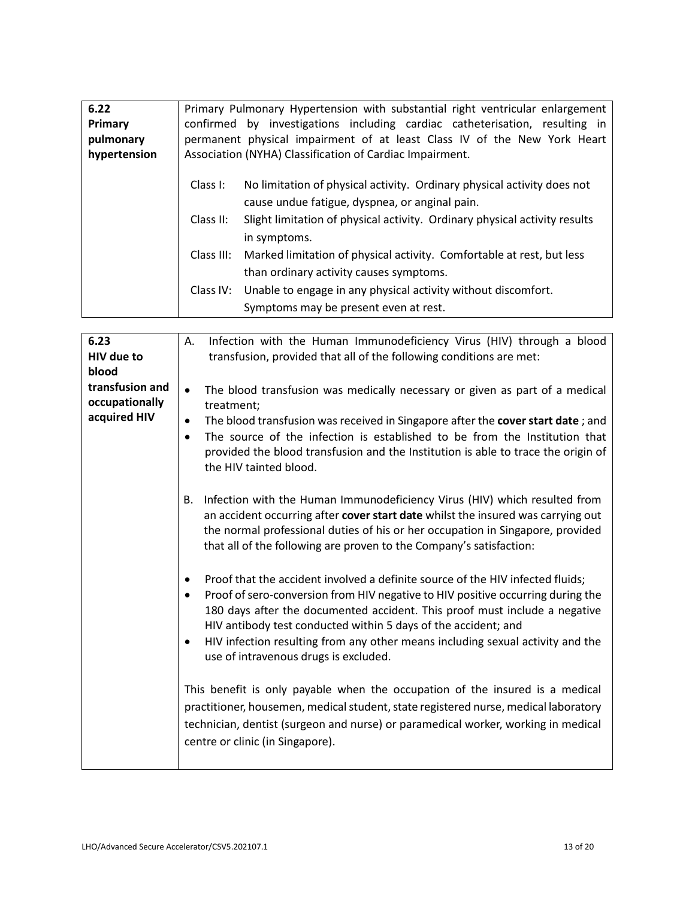| 6.22         |            | Primary Pulmonary Hypertension with substantial right ventricular enlargement |
|--------------|------------|-------------------------------------------------------------------------------|
| Primary      |            | confirmed by investigations including cardiac catheterisation, resulting in   |
| pulmonary    |            | permanent physical impairment of at least Class IV of the New York Heart      |
| hypertension |            | Association (NYHA) Classification of Cardiac Impairment.                      |
|              |            |                                                                               |
|              | Class I:   | No limitation of physical activity. Ordinary physical activity does not       |
|              |            | cause undue fatigue, dyspnea, or anginal pain.                                |
|              |            |                                                                               |
|              | Class II:  | Slight limitation of physical activity. Ordinary physical activity results    |
|              |            | in symptoms.                                                                  |
|              | Class III: | Marked limitation of physical activity. Comfortable at rest, but less         |
|              |            |                                                                               |
|              |            | than ordinary activity causes symptoms.                                       |
|              | Class IV:  | Unable to engage in any physical activity without discomfort.                 |
|              |            | Symptoms may be present even at rest.                                         |
|              |            |                                                                               |

| 6.23            | Infection with the Human Immunodeficiency Virus (HIV) through a blood<br>Α.                                                          |
|-----------------|--------------------------------------------------------------------------------------------------------------------------------------|
| HIV due to      | transfusion, provided that all of the following conditions are met:                                                                  |
| blood           |                                                                                                                                      |
| transfusion and | The blood transfusion was medically necessary or given as part of a medical<br>$\bullet$                                             |
| occupationally  | treatment;                                                                                                                           |
| acquired HIV    | The blood transfusion was received in Singapore after the cover start date; and<br>٠                                                 |
|                 | The source of the infection is established to be from the Institution that<br>$\bullet$                                              |
|                 | provided the blood transfusion and the Institution is able to trace the origin of<br>the HIV tainted blood.                          |
|                 | Infection with the Human Immunodeficiency Virus (HIV) which resulted from<br>В.                                                      |
|                 | an accident occurring after cover start date whilst the insured was carrying out                                                     |
|                 | the normal professional duties of his or her occupation in Singapore, provided                                                       |
|                 | that all of the following are proven to the Company's satisfaction:                                                                  |
|                 |                                                                                                                                      |
|                 | Proof that the accident involved a definite source of the HIV infected fluids;                                                       |
|                 | Proof of sero-conversion from HIV negative to HIV positive occurring during the                                                      |
|                 | 180 days after the documented accident. This proof must include a negative                                                           |
|                 | HIV antibody test conducted within 5 days of the accident; and                                                                       |
|                 | HIV infection resulting from any other means including sexual activity and the<br>$\bullet$<br>use of intravenous drugs is excluded. |
|                 |                                                                                                                                      |
|                 | This benefit is only payable when the occupation of the insured is a medical                                                         |
|                 | practitioner, housemen, medical student, state registered nurse, medical laboratory                                                  |
|                 | technician, dentist (surgeon and nurse) or paramedical worker, working in medical                                                    |
|                 | centre or clinic (in Singapore).                                                                                                     |
|                 |                                                                                                                                      |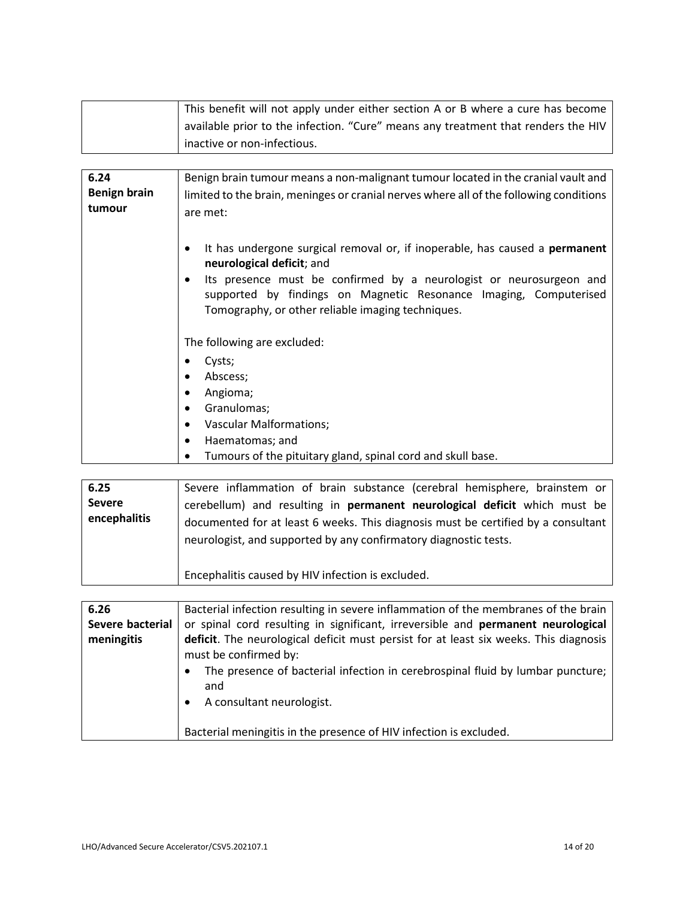| This benefit will not apply under either section A or B where a cure has become   |
|-----------------------------------------------------------------------------------|
| available prior to the infection. "Cure" means any treatment that renders the HIV |
| inactive or non-infectious.                                                       |

| 6.24                | Benign brain tumour means a non-malignant tumour located in the cranial vault and      |
|---------------------|----------------------------------------------------------------------------------------|
| <b>Benign brain</b> | limited to the brain, meninges or cranial nerves where all of the following conditions |
| tumour              | are met:                                                                               |
|                     |                                                                                        |
|                     | It has undergone surgical removal or, if inoperable, has caused a <b>permanent</b>     |
|                     | neurological deficit; and                                                              |
|                     | Its presence must be confirmed by a neurologist or neurosurgeon and                    |
|                     | supported by findings on Magnetic Resonance Imaging, Computerised                      |
|                     | Tomography, or other reliable imaging techniques.                                      |
|                     |                                                                                        |
|                     | The following are excluded:                                                            |
|                     | Cysts;                                                                                 |
|                     | Abscess;                                                                               |
|                     | Angioma;                                                                               |
|                     | Granulomas;                                                                            |
|                     | <b>Vascular Malformations;</b>                                                         |
|                     | Haematomas; and<br>٠                                                                   |
|                     | Tumours of the pituitary gland, spinal cord and skull base.                            |

| 6.25<br><b>Severe</b><br>encephalitis | Severe inflammation of brain substance (cerebral hemisphere, brainstem or<br>cerebellum) and resulting in <b>permanent neurological deficit</b> which must be<br>documented for at least 6 weeks. This diagnosis must be certified by a consultant<br>neurologist, and supported by any confirmatory diagnostic tests. |
|---------------------------------------|------------------------------------------------------------------------------------------------------------------------------------------------------------------------------------------------------------------------------------------------------------------------------------------------------------------------|
|                                       | Encephalitis caused by HIV infection is excluded.                                                                                                                                                                                                                                                                      |

| 6.26             | Bacterial infection resulting in severe inflammation of the membranes of the brain    |
|------------------|---------------------------------------------------------------------------------------|
| Severe bacterial | or spinal cord resulting in significant, irreversible and permanent neurological      |
| meningitis       | deficit. The neurological deficit must persist for at least six weeks. This diagnosis |
|                  | must be confirmed by:                                                                 |
|                  | The presence of bacterial infection in cerebrospinal fluid by lumbar puncture;        |
|                  | and                                                                                   |
|                  | A consultant neurologist.                                                             |
|                  |                                                                                       |
|                  | Bacterial meningitis in the presence of HIV infection is excluded.                    |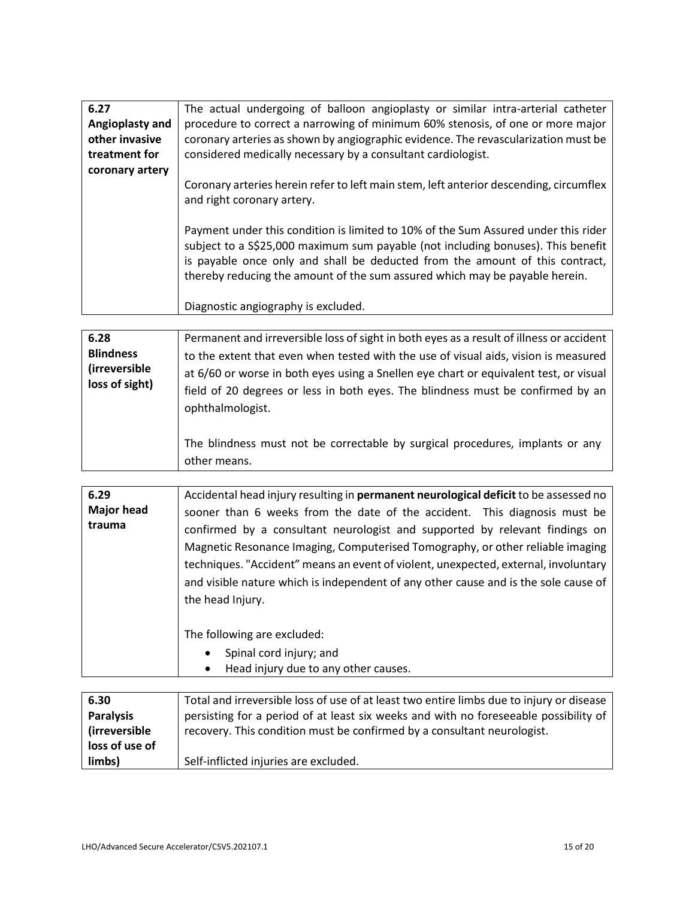| 6.27            | The actual undergoing of balloon angioplasty or similar intra-arterial catheter                                                                                                                                                                                                                                                       |
|-----------------|---------------------------------------------------------------------------------------------------------------------------------------------------------------------------------------------------------------------------------------------------------------------------------------------------------------------------------------|
| Angioplasty and | procedure to correct a narrowing of minimum 60% stenosis, of one or more major                                                                                                                                                                                                                                                        |
| other invasive  | coronary arteries as shown by angiographic evidence. The revascularization must be                                                                                                                                                                                                                                                    |
| treatment for   | considered medically necessary by a consultant cardiologist.                                                                                                                                                                                                                                                                          |
| coronary artery |                                                                                                                                                                                                                                                                                                                                       |
|                 | Coronary arteries herein refer to left main stem, left anterior descending, circumflex<br>and right coronary artery.                                                                                                                                                                                                                  |
|                 | Payment under this condition is limited to 10% of the Sum Assured under this rider<br>subject to a S\$25,000 maximum sum payable (not including bonuses). This benefit<br>is payable once only and shall be deducted from the amount of this contract,<br>thereby reducing the amount of the sum assured which may be payable herein. |
|                 | Diagnostic angiography is excluded.                                                                                                                                                                                                                                                                                                   |

| 6.28<br><b>Blindness</b><br><i>(irreversible)</i><br>loss of sight) | Permanent and irreversible loss of sight in both eyes as a result of illness or accident<br>to the extent that even when tested with the use of visual aids, vision is measured<br>at 6/60 or worse in both eyes using a Snellen eye chart or equivalent test, or visual<br>field of 20 degrees or less in both eyes. The blindness must be confirmed by an<br>ophthalmologist. |
|---------------------------------------------------------------------|---------------------------------------------------------------------------------------------------------------------------------------------------------------------------------------------------------------------------------------------------------------------------------------------------------------------------------------------------------------------------------|
|                                                                     | The blindness must not be correctable by surgical procedures, implants or any<br>other means.                                                                                                                                                                                                                                                                                   |

| 6.29              | Accidental head injury resulting in permanent neurological deficit to be assessed no |
|-------------------|--------------------------------------------------------------------------------------|
| <b>Major head</b> | sooner than 6 weeks from the date of the accident. This diagnosis must be            |
| trauma            | confirmed by a consultant neurologist and supported by relevant findings on          |
|                   | Magnetic Resonance Imaging, Computerised Tomography, or other reliable imaging       |
|                   | techniques. "Accident" means an event of violent, unexpected, external, involuntary  |
|                   | and visible nature which is independent of any other cause and is the sole cause of  |
|                   | the head Injury.                                                                     |
|                   |                                                                                      |
|                   | The following are excluded:                                                          |
|                   | Spinal cord injury; and<br>$\bullet$                                                 |
|                   | Head injury due to any other causes.<br>$\bullet$                                    |

| 6.30                  | Total and irreversible loss of use of at least two entire limbs due to injury or disease |
|-----------------------|------------------------------------------------------------------------------------------|
| <b>Paralysis</b>      | persisting for a period of at least six weeks and with no foreseeable possibility of     |
| <i>(irreversible)</i> | recovery. This condition must be confirmed by a consultant neurologist.                  |
| loss of use of        |                                                                                          |
| limbs)                | Self-inflicted injuries are excluded.                                                    |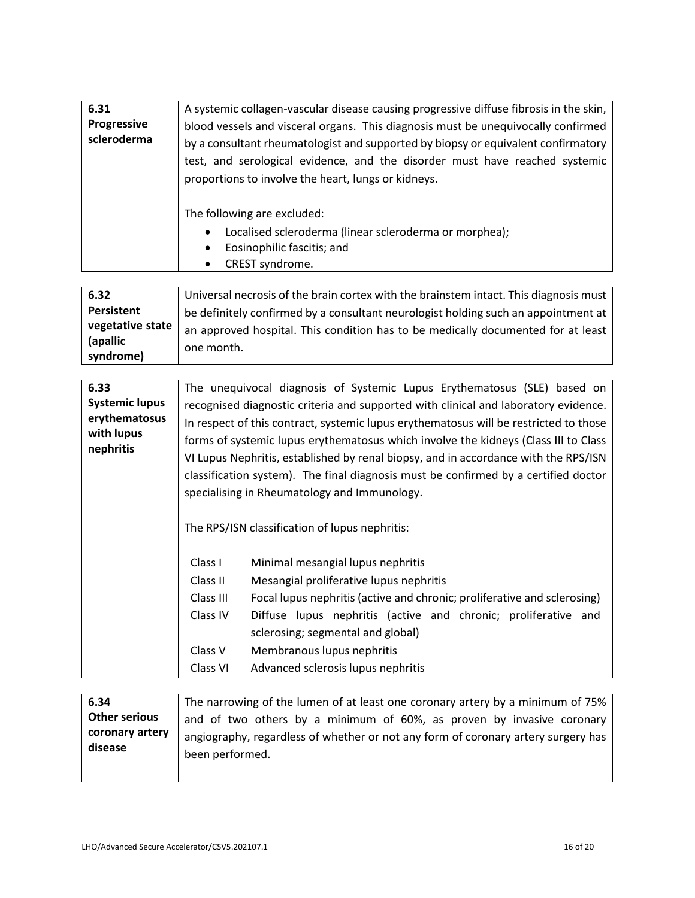| 6.31                       | A systemic collagen-vascular disease causing progressive diffuse fibrosis in the skin,                                                                                                                                                                                                                       |
|----------------------------|--------------------------------------------------------------------------------------------------------------------------------------------------------------------------------------------------------------------------------------------------------------------------------------------------------------|
| Progressive<br>scleroderma | blood vessels and visceral organs. This diagnosis must be unequivocally confirmed<br>by a consultant rheumatologist and supported by biopsy or equivalent confirmatory<br>test, and serological evidence, and the disorder must have reached systemic<br>proportions to involve the heart, lungs or kidneys. |
|                            | The following are excluded:<br>Localised scleroderma (linear scleroderma or morphea);<br>$\bullet$<br>Eosinophilic fascitis; and<br>$\bullet$<br>CREST syndrome.<br>$\bullet$                                                                                                                                |

| 6.32                                      | Universal necrosis of the brain cortex with the brainstem intact. This diagnosis must          |
|-------------------------------------------|------------------------------------------------------------------------------------------------|
| Persistent                                | be definitely confirmed by a consultant neurologist holding such an appointment at             |
| vegetative state<br>(apallic<br>syndrome) | an approved hospital. This condition has to be medically documented for at least<br>one month. |

| 6.33<br><b>Systemic lupus</b><br>erythematosus<br>with lupus<br>nephritis |                                                                     | The unequivocal diagnosis of Systemic Lupus Erythematosus (SLE) based on<br>recognised diagnostic criteria and supported with clinical and laboratory evidence.<br>In respect of this contract, systemic lupus erythematosus will be restricted to those<br>forms of systemic lupus erythematosus which involve the kidneys (Class III to Class<br>VI Lupus Nephritis, established by renal biopsy, and in accordance with the RPS/ISN<br>classification system). The final diagnosis must be confirmed by a certified doctor<br>specialising in Rheumatology and Immunology. |
|---------------------------------------------------------------------------|---------------------------------------------------------------------|-------------------------------------------------------------------------------------------------------------------------------------------------------------------------------------------------------------------------------------------------------------------------------------------------------------------------------------------------------------------------------------------------------------------------------------------------------------------------------------------------------------------------------------------------------------------------------|
|                                                                           | Class I<br>Class II<br>Class III<br>Class IV<br>Class V<br>Class VI | The RPS/ISN classification of lupus nephritis:<br>Minimal mesangial lupus nephritis<br>Mesangial proliferative lupus nephritis<br>Focal lupus nephritis (active and chronic; proliferative and sclerosing)<br>Diffuse lupus nephritis (active and chronic; proliferative and<br>sclerosing; segmental and global)<br>Membranous lupus nephritis<br>Advanced sclerosis lupus nephritis                                                                                                                                                                                         |

| 6.34                                               | The narrowing of the lumen of at least one coronary artery by a minimum of 75%                                                                             |
|----------------------------------------------------|------------------------------------------------------------------------------------------------------------------------------------------------------------|
| <b>Other serious</b><br>coronary artery<br>disease | and of two others by a minimum of 60%, as proven by invasive coronary<br>angiography, regardless of whether or not any form of coronary artery surgery has |
|                                                    | been performed.                                                                                                                                            |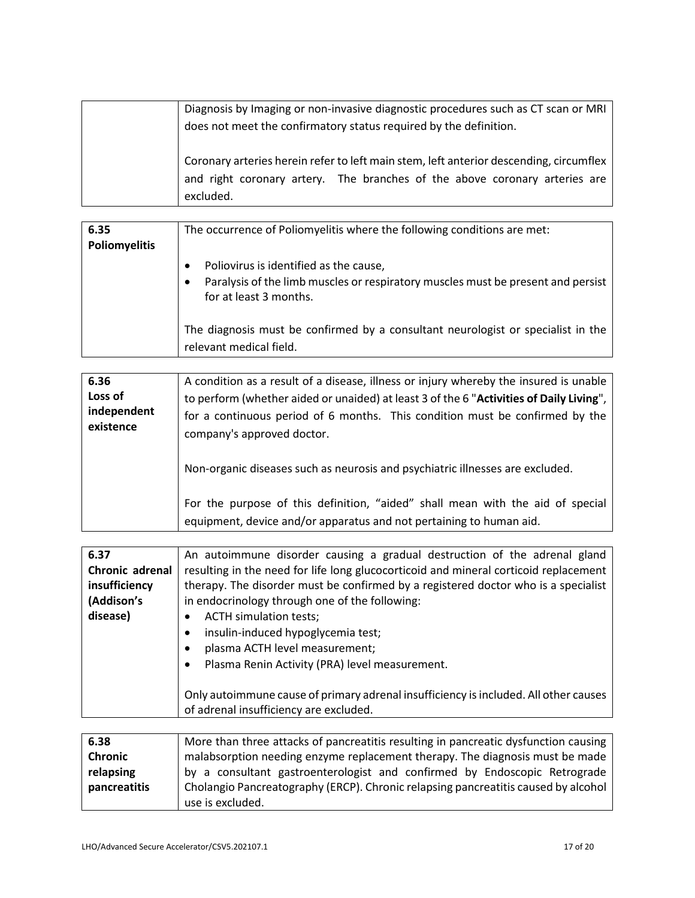| Diagnosis by Imaging or non-invasive diagnostic procedures such as CT scan or MRI      |
|----------------------------------------------------------------------------------------|
| does not meet the confirmatory status required by the definition.                      |
|                                                                                        |
| Coronary arteries herein refer to left main stem, left anterior descending, circumflex |
| and right coronary artery. The branches of the above coronary arteries are             |
| excluded.                                                                              |

| 6.35          | The occurrence of Poliomyelitis where the following conditions are met:                                     |
|---------------|-------------------------------------------------------------------------------------------------------------|
| Poliomyelitis |                                                                                                             |
|               | Poliovirus is identified as the cause,                                                                      |
|               | Paralysis of the limb muscles or respiratory muscles must be present and persist<br>for at least 3 months.  |
|               | The diagnosis must be confirmed by a consultant neurologist or specialist in the<br>relevant medical field. |

| 6.36                                | A condition as a result of a disease, illness or injury whereby the insured is unable                                                                                                                 |
|-------------------------------------|-------------------------------------------------------------------------------------------------------------------------------------------------------------------------------------------------------|
| Loss of<br>independent<br>existence | to perform (whether aided or unaided) at least 3 of the 6 "Activities of Daily Living",<br>for a continuous period of 6 months. This condition must be confirmed by the<br>company's approved doctor. |
|                                     | Non-organic diseases such as neurosis and psychiatric illnesses are excluded.                                                                                                                         |
|                                     | For the purpose of this definition, "aided" shall mean with the aid of special<br>equipment, device and/or apparatus and not pertaining to human aid.                                                 |

| 6.37            | An autoimmune disorder causing a gradual destruction of the adrenal gland            |
|-----------------|--------------------------------------------------------------------------------------|
| Chronic adrenal | resulting in the need for life long glucocorticoid and mineral corticoid replacement |
| insufficiency   | therapy. The disorder must be confirmed by a registered doctor who is a specialist   |
| (Addison's      | in endocrinology through one of the following:                                       |
| disease)        | <b>ACTH simulation tests;</b>                                                        |
|                 | insulin-induced hypoglycemia test;                                                   |
|                 | plasma ACTH level measurement;                                                       |
|                 | Plasma Renin Activity (PRA) level measurement.                                       |
|                 |                                                                                      |
|                 | Only autoimmune cause of primary adrenal insufficiency is included. All other causes |
|                 | of adrenal insufficiency are excluded.                                               |
|                 |                                                                                      |

| 6.38           | More than three attacks of pancreatitis resulting in pancreatic dysfunction causing |
|----------------|-------------------------------------------------------------------------------------|
| <b>Chronic</b> | malabsorption needing enzyme replacement therapy. The diagnosis must be made        |
| relapsing      | by a consultant gastroenterologist and confirmed by Endoscopic Retrograde           |
| pancreatitis   | Cholangio Pancreatography (ERCP). Chronic relapsing pancreatitis caused by alcohol  |
|                | use is excluded.                                                                    |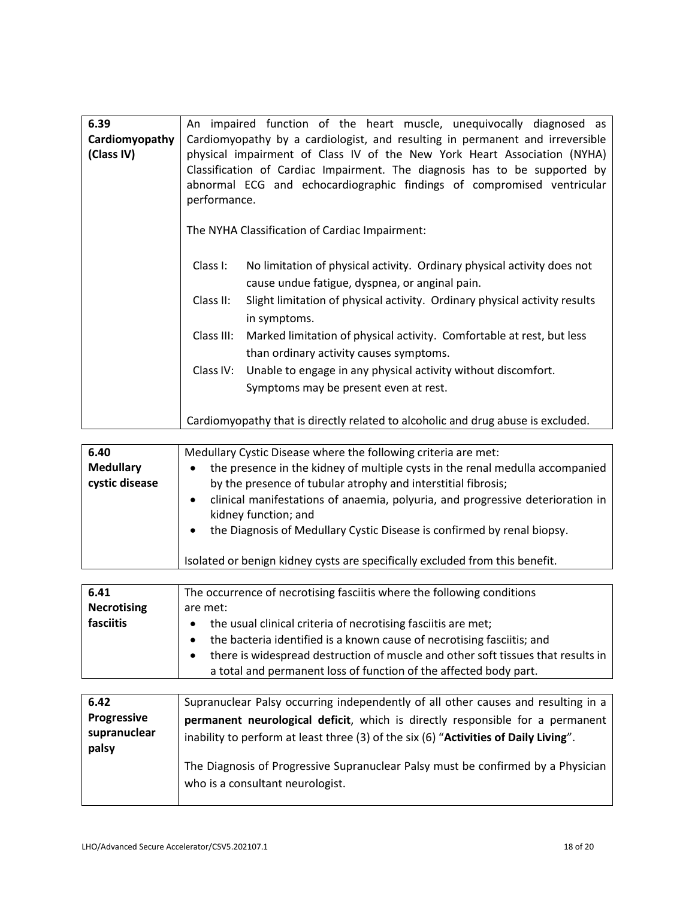| 6.39           | An impaired function of the heart muscle, unequivocally diagnosed as                    |
|----------------|-----------------------------------------------------------------------------------------|
| Cardiomyopathy | Cardiomyopathy by a cardiologist, and resulting in permanent and irreversible           |
| (Class IV)     | physical impairment of Class IV of the New York Heart Association (NYHA)                |
|                | Classification of Cardiac Impairment. The diagnosis has to be supported by              |
|                | abnormal ECG and echocardiographic findings of compromised ventricular                  |
|                | performance.                                                                            |
|                |                                                                                         |
|                | The NYHA Classification of Cardiac Impairment:                                          |
|                |                                                                                         |
|                | Class I:<br>No limitation of physical activity. Ordinary physical activity does not     |
|                | cause undue fatigue, dyspnea, or anginal pain.                                          |
|                |                                                                                         |
|                | Class II:<br>Slight limitation of physical activity. Ordinary physical activity results |
|                | in symptoms.                                                                            |
|                | Class III:<br>Marked limitation of physical activity. Comfortable at rest, but less     |
|                | than ordinary activity causes symptoms.                                                 |
|                | Unable to engage in any physical activity without discomfort.<br>Class IV:              |
|                | Symptoms may be present even at rest.                                                   |
|                |                                                                                         |
|                |                                                                                         |
|                | Cardiomyopathy that is directly related to alcoholic and drug abuse is excluded.        |

| 6.40<br><b>Medullary</b><br>cystic disease | Medullary Cystic Disease where the following criteria are met:<br>the presence in the kidney of multiple cysts in the renal medulla accompanied<br>$\bullet$<br>by the presence of tubular atrophy and interstitial fibrosis;<br>clinical manifestations of anaemia, polyuria, and progressive deterioration in<br>$\bullet$<br>kidney function; and<br>the Diagnosis of Medullary Cystic Disease is confirmed by renal biopsy.<br>$\bullet$ |
|--------------------------------------------|----------------------------------------------------------------------------------------------------------------------------------------------------------------------------------------------------------------------------------------------------------------------------------------------------------------------------------------------------------------------------------------------------------------------------------------------|
|                                            | Isolated or benign kidney cysts are specifically excluded from this benefit.                                                                                                                                                                                                                                                                                                                                                                 |

| 6.41               | The occurrence of necrotising fasciitis where the following conditions                        |
|--------------------|-----------------------------------------------------------------------------------------------|
| <b>Necrotising</b> | are met:                                                                                      |
| fasciitis          | • the usual clinical criteria of necrotising fasciitis are met;                               |
|                    | the bacteria identified is a known cause of necrotising fasciitis; and<br>$\bullet$           |
|                    | there is widespread destruction of muscle and other soft tissues that results in<br>$\bullet$ |
|                    | a total and permanent loss of function of the affected body part.                             |

| 6.42                  | Supranuclear Palsy occurring independently of all other causes and resulting in a                                    |
|-----------------------|----------------------------------------------------------------------------------------------------------------------|
| <b>Progressive</b>    | permanent neurological deficit, which is directly responsible for a permanent                                        |
| supranuclear<br>palsy | inability to perform at least three (3) of the six (6) "Activities of Daily Living".                                 |
|                       | The Diagnosis of Progressive Supranuclear Palsy must be confirmed by a Physician<br>who is a consultant neurologist. |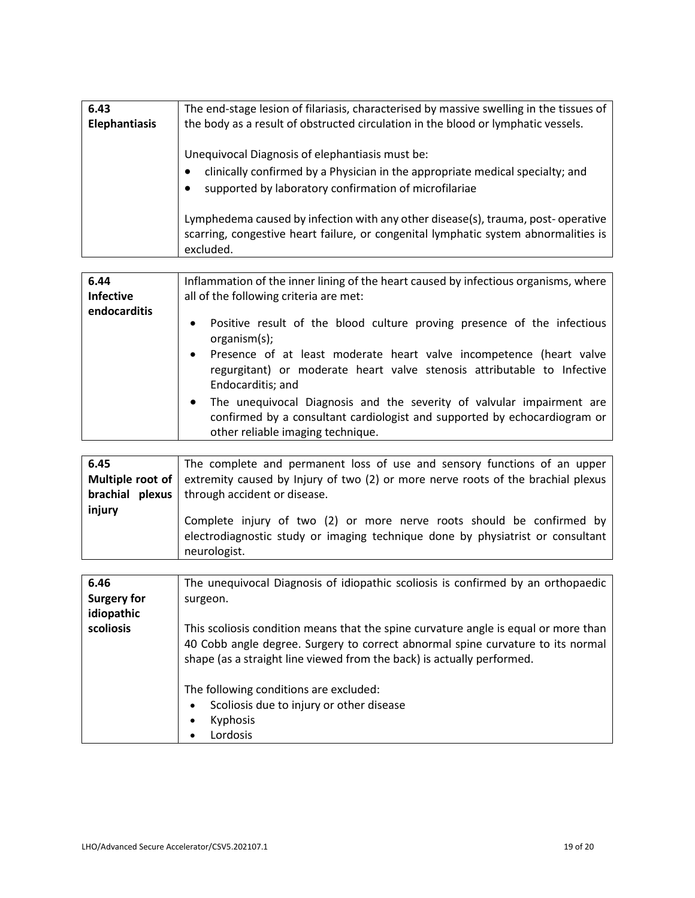| 6.43<br><b>Elephantiasis</b> | The end-stage lesion of filariasis, characterised by massive swelling in the tissues of<br>the body as a result of obstructed circulation in the blood or lymphatic vessels.              |
|------------------------------|-------------------------------------------------------------------------------------------------------------------------------------------------------------------------------------------|
|                              | Unequivocal Diagnosis of elephantiasis must be:<br>clinically confirmed by a Physician in the appropriate medical specialty; and<br>supported by laboratory confirmation of microfilariae |
|                              | Lymphedema caused by infection with any other disease(s), trauma, post-operative<br>scarring, congestive heart failure, or congenital lymphatic system abnormalities is<br>excluded.      |

| 6.44<br><b>Infective</b><br>endocarditis | Inflammation of the inner lining of the heart caused by infectious organisms, where<br>all of the following criteria are met:<br>Positive result of the blood culture proving presence of the infectious<br>$\bullet$ |
|------------------------------------------|-----------------------------------------------------------------------------------------------------------------------------------------------------------------------------------------------------------------------|
|                                          | organism(s);<br>Presence of at least moderate heart valve incompetence (heart valve<br>$\bullet$<br>regurgitant) or moderate heart valve stenosis attributable to Infective<br>Endocarditis; and                      |
|                                          | The unequivocal Diagnosis and the severity of valvular impairment are<br>$\bullet$<br>confirmed by a consultant cardiologist and supported by echocardiogram or<br>other reliable imaging technique.                  |

| 6.45   | The complete and permanent loss of use and sensory functions of an upper                                                                                                |
|--------|-------------------------------------------------------------------------------------------------------------------------------------------------------------------------|
|        | Multiple root of   extremity caused by Injury of two (2) or more nerve roots of the brachial plexus                                                                     |
|        | <b>brachial plexus</b>   through accident or disease.                                                                                                                   |
| injury | Complete injury of two (2) or more nerve roots should be confirmed by<br>electrodiagnostic study or imaging technique done by physiatrist or consultant<br>neurologist. |

| 6.46               | The unequivocal Diagnosis of idiopathic scoliosis is confirmed by an orthopaedic    |
|--------------------|-------------------------------------------------------------------------------------|
| <b>Surgery for</b> | surgeon.                                                                            |
| idiopathic         |                                                                                     |
| scoliosis          | This scoliosis condition means that the spine curvature angle is equal or more than |
|                    | 40 Cobb angle degree. Surgery to correct abnormal spine curvature to its normal     |
|                    | shape (as a straight line viewed from the back) is actually performed.              |
|                    | The following conditions are excluded:                                              |
|                    | Scoliosis due to injury or other disease<br>٠                                       |
|                    | <b>Kyphosis</b><br>٠                                                                |
|                    | Lordosis                                                                            |